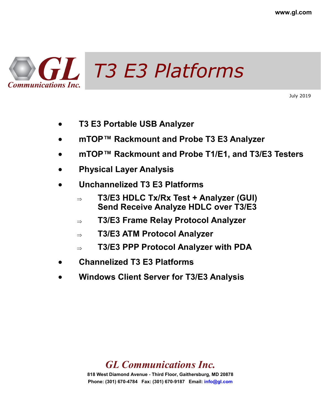

July 2019

- **T3 E3 Portable USB Analyzer**
- **mTOP™ Rackmount and Probe T3 E3 Analyzer**
- **mTOP™ Rackmount and Probe T1/E1, and T3/E3 Testers**
- **Physical Layer Analysis**
- **Unchannelized T3 E3 Platforms**
	- **T3/E3 HDLC Tx/Rx Test + Analyzer (GUI) Send Receive Analyze HDLC over T3/E3**
	- **T3/E3 Frame Relay Protocol Analyzer**
	- **T3/E3 ATM Protocol Analyzer**
	- **T3/E3 PPP Protocol Analyzer with PDA**
- **Channelized T3 E3 Platforms**
- **Windows Client Server for T3/E3 Analysis**

### *GL Communications Inc.*

**818 West Diamond Avenue - Third Floor, Gaithersburg, MD 20878 Phone: (301) 670-4784 Fax: (301) 670-9187 Email: info@gl.com**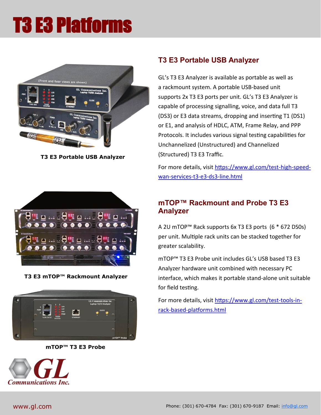

**T3 E3 Portable USB Analyzer**



**T3 E3 mTOP™ Rackmount Analyzer**



**mTOP™ T3 E3 Probe**



#### **T3 E3 Portable USB Analyzer**

GL's T3 E3 Analyzer is available as portable as well as a rackmount system. A portable USB-based unit supports 2x T3 E3 ports per unit. GL's T3 E3 Analyzer is capable of processing signalling, voice, and data full T3 (DS3) or E3 data streams, dropping and inserting T1 (DS1) or E1, and analysis of HDLC, ATM, Frame Relay, and PPP Protocols. It includes various signal testing capabilities for Unchannelized (Unstructured) and Channelized (Structured) T3 E3 Traffic.

For more details, visit [https://www.gl.com/test](https://www.gl.com/test-high-speed-wan-services-t3-e3-ds3-line.html)-high-speedwan-services-t3-e3-ds3-[line.html](https://www.gl.com/test-high-speed-wan-services-t3-e3-ds3-line.html)

#### **mTOP™ Rackmount and Probe T3 E3 Analyzer**

A 2U mTOP™ Rack supports 6x T3 E3 ports (6 \* 672 DS0s) per unit. Multiple rack units can be stacked together for greater scalability.

mTOP™ T3 E3 Probe unit includes GL's USB based T3 E3 Analyzer hardware unit combined with necessary PC interface, which makes it portable stand-alone unit suitable for field testing.

For more details, visit [https://www.gl.com/test](https://www.gl.com/test-tools-in-rack-based-platforms.html)-tools-inrack-based-[platforms.html](https://www.gl.com/test-tools-in-rack-based-platforms.html)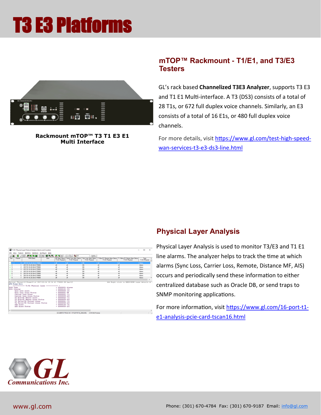

**Rackmount mTOP™ T3 T1 E3 E1 Multi Interface** 

#### **mTOP™ Rackmount - T1/E1, and T3/E3 Testers**

GL's rack based **Channelized T3E3 Analyzer**, supports T3 E3 and T1 E1 Multi-interface. A T3 (DS3) consists of a total of 28 T1s, or 672 full duplex voice channels. Similarly, an E3 consists of a total of 16 E1s, or 480 full duplex voice channels.

For more details, visit [https://www.gl.com/test](https://www.gl.com/test-high-speed-wan-services-t3-e3-ds3-line.html)-high-speedwan-services-t3-e3-ds3-[line.html](https://www.gl.com/test-high-speed-wan-services-t3-e3-ds3-line.html)

|                  |                                                                                           | T1/E1 Physical Laver Protocol Analysis Alarms and Counters                                                                                                                                                                                               |          |                                                                                                                                                                                                                      |                                                               |                                          |                 |                |                                                                                   | n                      | $\times$      |
|------------------|-------------------------------------------------------------------------------------------|----------------------------------------------------------------------------------------------------------------------------------------------------------------------------------------------------------------------------------------------------------|----------|----------------------------------------------------------------------------------------------------------------------------------------------------------------------------------------------------------------------|---------------------------------------------------------------|------------------------------------------|-----------------|----------------|-----------------------------------------------------------------------------------|------------------------|---------------|
| <b>File View</b> |                                                                                           | Capture Statistics Database Configure Help                                                                                                                                                                                                               |          |                                                                                                                                                                                                                      |                                                               |                                          |                 |                |                                                                                   |                        |               |
| œ.               | G.<br>18 C                                                                                | <b>리 명 제 역</b><br>0                                                                                                                                                                                                                                      | 99 역, 역, | 品图案                                                                                                                                                                                                                  | $-\frac{C}{2}$ $-\frac{D}{2}$ $\frac{d}{dx}$ $-\frac{H}{U}$ 0 |                                          | GoTo            |                |                                                                                   |                        |               |
| Dev              | Frame#                                                                                    | <b>TIME (Date)</b>                                                                                                                                                                                                                                       | Empr     | AIS Alarm Status<br><b>TI/E1 Physical</b>                                                                                                                                                                            | Canter Loss Alarm Status<br>T1/E1 Physical                    | Sync Loss Alarm Status<br>T1/E1 Physical |                 | T1/E1 Physical | T1 Bue/E1 Renote Alam Status   T1 Yellow/E1 Distant Alam Status<br>T1/E1 Physical | Type<br>T1/E1 Physical |               |
| 41               | n L                                                                                       | 2017-01-16 20:36:43 778000                                                                                                                                                                                                                               |          | αř                                                                                                                                                                                                                   | off.                                                          | ON                                       |                 | cli.           | <b>off</b>                                                                        | Alarms                 |               |
| /2               |                                                                                           | 2017-01-16 20:36:43 778000                                                                                                                                                                                                                               |          | oli                                                                                                                                                                                                                  | off                                                           | <b>ON</b>                                |                 | off            | off                                                                               | Alsene                 |               |
| $\sqrt{3}$       |                                                                                           | 2017-01-16 20:36:43.778000                                                                                                                                                                                                                               |          | oli                                                                                                                                                                                                                  | off                                                           | 0N                                       |                 | off            | off                                                                               | Alwms                  |               |
| /4               |                                                                                           | 2017-01-16 20:36:43 778000                                                                                                                                                                                                                               |          | off                                                                                                                                                                                                                  | off                                                           | ON                                       |                 | off            | off                                                                               | Alarms                 |               |
| $\sqrt{5}$       |                                                                                           | 2017-01-16 20:36:43 778000                                                                                                                                                                                                                               |          | oli                                                                                                                                                                                                                  | off                                                           | ON                                       |                 | off            | off                                                                               | <b>Alwent</b>          |               |
| /6               |                                                                                           | 2017-01-16 20:36:43 778000                                                                                                                                                                                                                               |          | off                                                                                                                                                                                                                  | off                                                           | <b>ON</b>                                |                 | off            | off                                                                               | Alarms                 |               |
| $\sqrt{7}$       | ŝ                                                                                         | 2017-01-16 20:36:43 778000                                                                                                                                                                                                                               |          | off                                                                                                                                                                                                                  | off                                                           | ON                                       |                 | off            | off                                                                               | Alarms                 |               |
| /8               | $\overline{z}$                                                                            | 2017-01-16 20:36:43 778000                                                                                                                                                                                                                               |          | off                                                                                                                                                                                                                  | off                                                           | <b>ON</b>                                |                 | off            | off                                                                               | Alarms                 |               |
| $\epsilon$       |                                                                                           |                                                                                                                                                                                                                                                          |          |                                                                                                                                                                                                                      |                                                               |                                          |                 |                |                                                                                   |                        | x             |
| 0000 Type        | <b>ATH Frane Data</b><br>0001 Counter<br>Sync Loss Alara<br>AIS Alera<br>AIS Alarn Status | ************* T1/E1 Physical Laver ********<br>Sync Loss Alara Status<br>Carrier Loss Alara<br>Carrier Loss Alara Status<br>T1 Blue/E1 Renote Alarn<br>T1 Blue/E1 Remote Alarm Status<br>T1 Yellow/E1 Distant Alara<br>T1 Yellow/E1 Distant Alara Status |          | - 00000001 Aleras<br>$= 00000101 (5)$<br>$= 00000000 (0)$<br>00000001 ON<br>$= 00000001(1)$<br>$= 00000000 of f$<br>$= 00000010(2)$<br>$= 00000000$ of f<br>$= 00000011(3)$<br>$= 00000100 (4)$<br>$= 00000000$ of f |                                                               |                                          |                 |                |                                                                                   |                        |               |
| $\epsilon$       |                                                                                           |                                                                                                                                                                                                                                                          |          |                                                                                                                                                                                                                      |                                                               |                                          |                 |                |                                                                                   |                        | $\rightarrow$ |
|                  |                                                                                           |                                                                                                                                                                                                                                                          |          |                                                                                                                                                                                                                      | G:\USBT3\T1PLA\16-1-17\20170116_2036.HDL                      |                                          | 2410 632 Frames |                |                                                                                   |                        |               |

#### **Physical Layer Analysis**

Physical Layer Analysis is used to monitor T3/E3 and T1 E1 line alarms. The analyzer helps to track the time at which alarms (Sync Loss, Carrier Loss, Remote, Distance MF, AIS) occurs and periodically send these information to either centralized database such as Oracle DB, or send traps to SNMP monitoring applications.

For more information, visit [https://www.gl.com/16](https://www.gl.com/16-port-t1-e1-analysis-pcie-card-tscan16.html)-port-t1 e1-analysis-pcie-card-[tscan16.html](https://www.gl.com/16-port-t1-e1-analysis-pcie-card-tscan16.html)

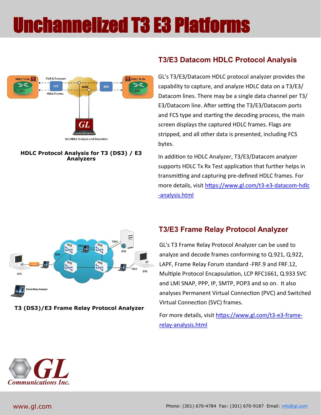### Unchannelized T3 E3 Platforms



**HDLC Protocol Analysis for T3 (DS3) / E3 Analyzers** 

#### **T3/E3 Datacom HDLC Protocol Analysis**

GL's T3/E3/Datacom HDLC protocol analyzer provides the capability to capture, and analyze HDLC data on a T3/E3/ Datacom lines. There may be a single data channel per T3/ E3/Datacom line. After setting the T3/E3/Datacom ports and FCS type and starting the decoding process, the main screen displays the captured HDLC frames. Flags are stripped, and all other data is presented, including FCS bytes.

In addition to HDLC Analyzer, T3/E3/Datacom analyzer supports HDLC Tx Rx Test application that further helps in transmitting and capturing pre-defined HDLC frames. For more details, visit [https://www.gl.com/t3](https://www.gl.com/t3-e3-datacom-hdlc-analysis.html)-e3-datacom-hdlc -[analysis.html](https://www.gl.com/t3-e3-datacom-hdlc-analysis.html)



**T3 (DS3)/E3 Frame Relay Protocol Analyzer**

#### **T3/E3 Frame Relay Protocol Analyzer**

GL's T3 Frame Relay Protocol Analyzer can be used to analyze and decode frames conforming to Q.921, Q.922, LAPF, Frame Relay Forum standard -FRF.9 and FRF.12, Multiple Protocol Encapsulation, LCP RFC1661, Q.933 SVC and LMI SNAP, PPP, IP, SMTP, POP3 and so on. It also analyses Permanent Virtual Connection (PVC) and Switched Virtual Connection (SVC) frames.

For more details, visit [https://www.gl.com/t3](https://www.gl.com/t3-e3-frame-relay-analysis.html)-e3-framerelay-[analysis.html](https://www.gl.com/t3-e3-frame-relay-analysis.html)

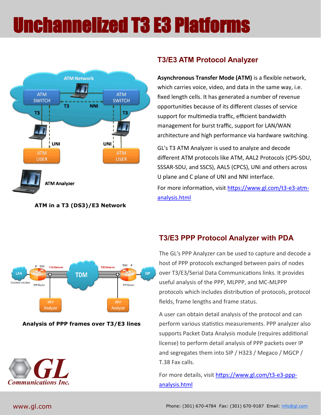## Unchannelized T3 E3 Platforms



#### **ATM in a T3 (DS3)/E3 Network**

#### **T3/E3 ATM Protocol Analyzer**

**Asynchronous Transfer Mode (ATM)** is a flexible network, which carries voice, video, and data in the same way, i.e. fixed length cells. It has generated a number of revenue opportunities because of its different classes of service support for multimedia traffic, efficient bandwidth management for burst traffic, support for LAN/WAN architecture and high performance via hardware switching.

GL's T3 ATM Analyzer is used to analyze and decode different ATM protocols like ATM, AAL2 Protocols (CPS-SDU, SSSAR-SDU, and SSCS), AAL5 (CPCS), UNI and others across U plane and C plane of UNI and NNI interface. For more information, visit [https://www.gl.com/t3](https://www.gl.com/t3-e3-atm-analysis.html)-e3-atm[analysis.html](https://www.gl.com/t3-e3-atm-analysis.html)



#### **Analysis of PPP frames over T3/E3 lines**



#### **T3/E3 PPP Protocol Analyzer with PDA**

The GL's PPP Analyzer can be used to capture and decode a host of PPP protocols exchanged between pairs of nodes over T3/E3/Serial Data Communications links. It provides useful analysis of the PPP, MLPPP, and MC-MLPPP protocols which includes distribution of protocols, protocol fields, frame lengths and frame status.

A user can obtain detail analysis of the protocol and can perform various statistics measurements. PPP analyzer also supports Packet Data Analysis module (requires additional license) to perform detail analysis of PPP packets over IP and segregates them into SIP / H323 / Megaco / MGCP / T.38 Fax calls.

For more details, visit [https://www.gl.com/t3](https://www.gl.com/t3-e3-ppp-analysis.html)-e3-ppp[analysis.html](https://www.gl.com/t3-e3-ppp-analysis.html)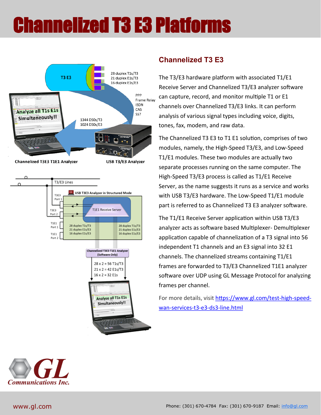# Channelized T3 E3 Platforms





#### **Channelized T3 E3**

The T3/E3 hardware platform with associated T1/E1 Receive Server and Channelized T3/E3 analyzer software can capture, record, and monitor multiple T1 or E1 channels over Channelized T3/E3 links. It can perform analysis of various signal types including voice, digits, tones, fax, modem, and raw data.

The Channelized T3 E3 to T1 E1 solution, comprises of two modules, namely, the High-Speed T3/E3, and Low-Speed T1/E1 modules. These two modules are actually two separate processes running on the same computer. The High-Speed T3/E3 process is called as T1/E1 Receive Server, as the name suggests it runs as a service and works with USB T3/E3 hardware. The Low-Speed T1/E1 module part is referred to as Channelized T3 E3 analyzer software.

The T1/E1 Receive Server application within USB T3/E3 analyzer acts as software based Multiplexer- Demultiplexer application capable of channelization of a T3 signal into 56 independent T1 channels and an E3 signal into 32 E1 channels. The channelized streams containing T1/E1 frames are forwarded to T3/E3 Channelized T1E1 analyzer software over UDP using GL Message Protocol for analyzing frames per channel.

For more details, visit [https://www.gl.com/test](https://www.gl.com/test-high-speed-wan-services-t3-e3-ds3-line.html)-high-speedwan-services-t3-e3-ds3-[line.html](https://www.gl.com/test-high-speed-wan-services-t3-e3-ds3-line.html)